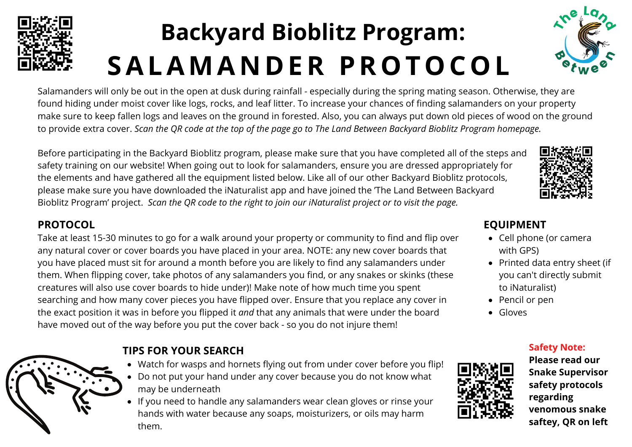

## **Backyard Bioblitz Program: SALAMA N D ER PROTOCOL**



Salamanders will only be out in the open at dusk during rainfall - especially during the spring mating season. Otherwise, they are found hiding under moist cover like logs, rocks, and leaf litter. To increase your chances of finding salamanders on your property make sure to keep fallen logs and leaves on the ground in forested. Also, you can always put down old pieces of wood on the ground to provide extra cover. Scan the QR code at the top of the page go to The Land Between Backyard Bioblitz Program homepage.

Before participating in the Backyard Bioblitz program, please make sure that you have completed all of the steps and safety training on our website! When going out to look for salamanders, ensure you are dressed appropriately for the elements and have gathered all the equipment listed below. Like all of our other Backyard Bioblitz protocols, please make sure you have downloaded the iNaturalist app and have joined the 'The Land Between Backyard Bioblitz Program' project. *Scan the QR code to the right to join our iNaturalist project or to visit the page.*



#### **PROTOCOL**

Take at least 15-30 minutes to go for a walk around your property or community to find and flip over any natural cover or cover boards you have placed in your area. NOTE: any new cover boards that you have placed must sit for around a month before you are likely to find any salamanders under them. When flipping cover, take photos of any salamanders you find, or any snakes or skinks (these creatures will also use cover boards to hide under)! Make note of how much time you spent searching and how many cover pieces you have flipped over. Ensure that you replace any cover in the exact position it was in before you flipped it *and* that any animals that were under the board have moved out of the way before you put the cover back - so you do not injure them!



#### **EQUIPMENT**

- Cell phone (or camera with GPS)
- Printed data entry sheet (if you can't directly submit to iNaturalist)

**Safety Note:**

- Pencil or pen
- Gloves



**Please read our Snake Supervisor safety protocols regarding venomous snake saftey, QR on left**



### **TIPS FOR YOUR SEARCH**

- Watch for wasps and hornets flying out from under cover before you flip!
- Do not put your hand under any cover because you do not know what may be underneath
- If you need to handle any salamanders wear clean gloves or rinse your hands with water because any soaps, moisturizers, or oils may harm them.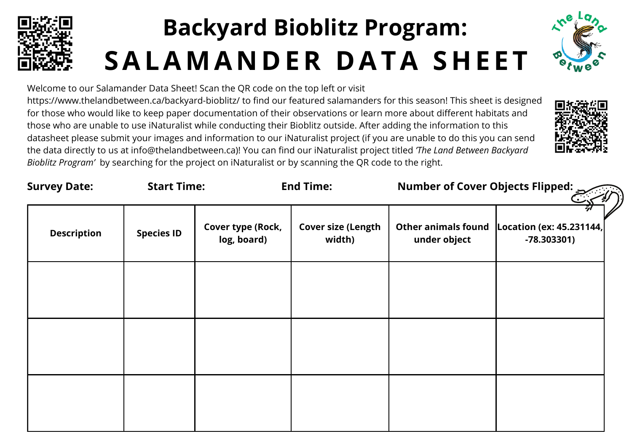

## **Backyard Bioblitz Program: SALAMA N D ER D ATA SHE E T**



Welcome to our Salamander Data Sheet! Scan the QR code on the top left or visit https://www.thelandbetween.ca/backyard-bioblitz/ to find our featured salamanders for this season! This sheet is designed for those who would like to keep paper documentation of their observations or learn more about different habitats and those who are unable to use iNaturalist while conducting their Bioblitz outside. After adding the information to this datasheet please submit your images and information to our iNaturalist project (if you are unable to do this you can send the data directly to us at info@thelandbetween.ca)! You can find our iNaturalist project titled *'The Land Between Backyard Bioblitz Program'* by searching for the project on iNaturalist or by scanning the QR code to the right.



| <b>Survey Date:</b> | <b>Start Time:</b> |                                  | <b>End Time:</b>                    |                                            | Number of Cover Objects Flipped: $\leq$  |  |
|---------------------|--------------------|----------------------------------|-------------------------------------|--------------------------------------------|------------------------------------------|--|
| <b>Description</b>  | <b>Species ID</b>  | Cover type (Rock,<br>log, board) | <b>Cover size (Length</b><br>width) | <b>Other animals found</b><br>under object | Location (ex: 45.231144,<br>$-78.303301$ |  |
|                     |                    |                                  |                                     |                                            |                                          |  |
|                     |                    |                                  |                                     |                                            |                                          |  |
|                     |                    |                                  |                                     |                                            |                                          |  |